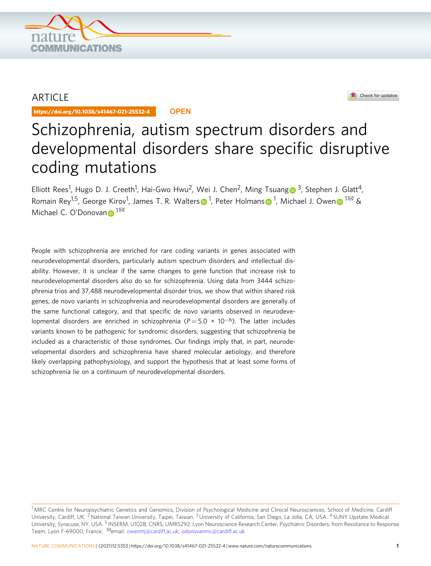

# ARTICLE

https://doi.org/10.1038/s41467-021-25532-4 **OPEN**



# Schizophrenia, autism spectrum disorders and developmental disorders share specific disruptive coding mutations

Elliott Rees<sup>1</sup>, Hu[g](http://orcid.org/0000-0002-0076-5340)o D. J. Creeth<sup>1</sup>, Hai-Gwo Hwu<sup>2</sup>, Wei J. Chen<sup>2</sup>, Ming Tsuang <sup>3</sup>, Stephen J. Glatt<sup>4</sup>, Romain Rey<[s](http://orcid.org/0000-0003-0870-9412)up>[1](http://orcid.org/0000-0003-4798-0862),5</sup>, George Kirov<sup>1</sup>, James T. R. Walters⋒<sup>1</sup>, Peter Holma[n](http://orcid.org/0000-0003-4798-0862)s⋒<sup>1</sup>, Michael J. Owen⋒<sup>1⊠</sup> & Michael C. O'Do[n](http://orcid.org/0000-0001-7073-2379)ovan  $1^{\boxtimes}$ 

People with schizophrenia are enriched for rare coding variants in genes associated with neurodevelopmental disorders, particularly autism spectrum disorders and intellectual disability. However, it is unclear if the same changes to gene function that increase risk to neurodevelopmental disorders also do so for schizophrenia. Using data from 3444 schizophrenia trios and 37,488 neurodevelopmental disorder trios, we show that within shared risk genes, de novo variants in schizophrenia and neurodevelopmental disorders are generally of the same functional category, and that specific de novo variants observed in neurodevelopmental disorders are enriched in schizophrenia ( $P = 5.0 \times 10^{-6}$ ). The latter includes variants known to be pathogenic for syndromic disorders, suggesting that schizophrenia be included as a characteristic of those syndromes. Our findings imply that, in part, neurodevelopmental disorders and schizophrenia have shared molecular aetiology, and therefore likely overlapping pathophysiology, and support the hypothesis that at least some forms of schizophrenia lie on a continuum of neurodevelopmental disorders.

 $1$ MRC Centre for Neuropsychiatric Genetics and Genomics. Division of Psychological Medicine and Clinical Neurosciences, School of Medicine. Cardiff University, Cardiff, UK. <sup>2</sup> National Taiwan University, Taipei, Taiwan. <sup>3</sup> University of California, San Diego, La Jolla, CA, USA. <sup>4</sup> SUNY Upstate Medical University, Syracuse, NY, USA. <sup>5</sup> INSERM, U1028; CNRS, UMR5292; Lyon Neuroscience Research Center, Psychiatric Disorders: from Resistance to Response Team, Lyon F-69000, France. <sup>⊠</sup>email: [owenmj@cardiff.ac.uk;](mailto:owenmj@cardiff.ac.uk) [odonovanmc@cardiff.ac.uk](mailto:odonovanmc@cardiff.ac.uk)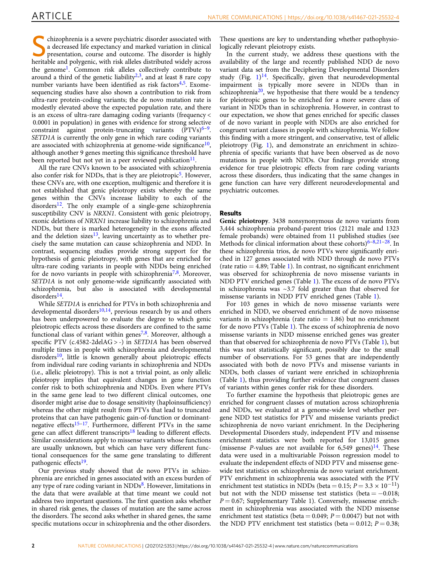Schizophrenia is a severe psychiatric disorder associated with<br>a decreased life expectancy and marked variation in clinical<br>presentation, course and outcome. The disorder is highly<br>beritable and palyzonic with right allele a decreased life expectancy and marked variation in clinical heritable and polygenic, with risk alleles distributed widely across the genome[1.](#page-7-0) Common risk alleles collectively contribute to around a third of the genetic liability<sup>[2](#page-7-0),[3](#page-7-0)</sup>, and at least 8 rare copy number variants have been identified as risk factors $4.5$  $4.5$ . Exomesequencing studies have also shown a contribution to risk from ultra-rare protein-coding variants; the de novo mutation rate is modestly elevated above the expected population rate, and there is an excess of ultra-rare damaging coding variants (frequency < 0.0001 in population) in genes with evidence for strong selective constraint against protein-truncating variants  $(PTVs)^{6-9}$  $(PTVs)^{6-9}$  $(PTVs)^{6-9}$ . SETD1A is currently the only gene in which rare coding variants are associated with schizophrenia at genome-wide significance $10$ , although another 9 genes meeting this significance threshold have been reported but not yet in a peer reviewed publication<sup>11</sup>.

All the rare CNVs known to be associated with schizophrenia also confer risk for NDDs, that is they are pleiotropic<sup>5</sup>. However, these CNVs are, with one exception, multigenic and therefore it is not established that genic pleiotropy exists whereby the same genes within the CNVs increase liability to each of the  $disorders<sup>12</sup>$ . The only example of a single-gene schizophrenia susceptibility CNV is NRXN1. Consistent with genic pleiotropy, exonic deletions of NRXN1 increase liability to schizophrenia and NDDs, but there is marked heterogeneity in the exons affected and the deletion sizes<sup>13</sup>, leaving uncertainty as to whether precisely the same mutation can cause schizophrenia and NDD. In contrast, sequencing studies provide strong support for the hypothesis of genic pleiotropy, with genes that are enriched for ultra-rare coding variants in people with NDDs being enriched for de novo variants in people with schizophrenia<sup>[7,8](#page-7-0)</sup>. Moreover, SETD1A is not only genome-wide significantly associated with schizophrenia, but also is associated with developmental disorders<sup>14</sup>.

While SETD1A is enriched for PTVs in both schizophrenia and developmental disorders<sup>10,14</sup>, previous research by us and others has been underpowered to evaluate the degree to which genic pleiotropic effects across these disorders are confined to the same functional class of variant within genes<sup>[7](#page-7-0),[8](#page-7-0)</sup>. Moreover, although a specific PTV (c.4582-2delAG > -) in SETD1A has been observed multiple times in people with schizophrenia and developmental disroders $10$ , little is known generally about pleiotropic effects from individual rare coding variants in schizophrenia and NDDs (i.e., allelic pleiotropy). This is not a trivial point, as only allelic pleiotropy implies that equivalent changes in gene function confer risk to both schizophrenia and NDDs. Even where PTVs in the same gene lead to two different clinical outcomes, one disorder might arise due to dosage sensitivity (haploinsufficiency) whereas the other might result from PTVs that lead to truncated proteins that can have pathogenic gain-of-function or dominantnegative effects $15-17$  $15-17$  $15-17$ . Furthermore, different PTVs in the same gene can affect different transcripts<sup>[18](#page-7-0)</sup> leading to different effects. Similar considerations apply to missense variants whose functions are usually unknown, but which can have very different functional consequences for the same gene translating to different pathogenic effects<sup>[19](#page-7-0)</sup>.

Our previous study showed that de novo PTVs in schizophrenia are enriched in genes associated with an excess burden of any type of rare coding variant in  $NDDs<sup>8</sup>$ . However, limitations in the data that were available at that time meant we could not address two important questions. The first question asks whether in shared risk genes, the classes of mutation are the same across the disorders. The second asks whether in shared genes, the same specific mutations occur in schizophrenia and the other disorders.

These questions are key to understanding whether pathophysiologically relevant pleiotropy exists.

In the current study, we address these questions with the availability of the large and recently published NDD de novo variant data set from the Deciphering Developmental Disorders study (Fig.  $1$ )<sup>14</sup>. Specifically, given that neurodevelopmental impairment is typically more severe in NDDs than in schizophrenia<sup>20</sup>, we hypothesise that there would be a tendency for pleiotropic genes to be enriched for a more severe class of variant in NDDs than in schizophrenia. However, in contrast to our expectation, we show that genes enriched for specific classes of de novo variant in people with NDDs are also enriched for congruent variant classes in people with schizophrenia. We follow this finding with a more stringent, and conservative, test of allelic pleiotropy (Fig. [1](#page-2-0)), and demonstrate an enrichment in schizophrenia of specific variants that have been observed as de novo mutations in people with NDDs. Our findings provide strong evidence for true pleiotropic effects from rare coding variants across these disorders, thus indicating that the same changes in gene function can have very different neurodevelopmental and psychiatric outcomes.

#### Results

Genic pleiotropy. 3438 nonsynonymous de novo variants from 3,444 schizophrenia proband-parent trios (2121 male and 1323 female probands) were obtained from 11 published studies (see Methods for clinical information about these cohorts) $6-8,21-28$  $6-8,21-28$  $6-8,21-28$  $6-8,21-28$ . In these schizophrenia trios, de novo PTVs were significantly enriched in 127 genes associated with NDD through de novo PTVs (rate ratio  $= 4.89$ ; Table [1](#page-3-0)). In contrast, no significant enrichment was observed for schizophrenia de novo missense variants in NDD PTV enriched genes (Table [1\)](#page-3-0). The excess of de novo PTVs in schizophrenia was  $\sim$ 3.7 fold greater than that observed for missense variants in NDD PTV enriched genes (Table [1\)](#page-3-0).

For 103 genes in which de novo missense variants were enriched in NDD, we observed enrichment of de novo missense variants in schizophrenia (rate ratio  $= 1.86$ ) but no enrichment for de novo PTVs (Table [1](#page-3-0)). The excess of schizophrenia de novo missense variants in NDD missense enriched genes was greater than that observed for schizophrenia de novo PTVs (Table [1](#page-3-0)), but this was not statistically significant, possibly due to the small number of observations. For 53 genes that are independently associated with both de novo PTVs and missense variants in NDDs, both classes of variant were enriched in schizophrenia (Table [1](#page-3-0)), thus providing further evidence that congruent classes of variants within genes confer risk for these disorders.

To further examine the hypothesis that pleiotropic genes are enriched for congruent classes of mutation across schizophrenia and NDDs, we evaluated at a genome-wide level whether pergene NDD test statistics for PTV and missense variants predict schizophrenia de novo variant enrichment. In the Deciphering Developmental Disorders study, independent PTV and missense enrichment statistics were both reported for 13,015 genes (missense *P*-values are not available for  $6,549$  genes)<sup>14</sup>. These data were used in a multivariable Poisson regression model to evaluate the independent effects of NDD PTV and missense genewide test statistics on schizophrenia de novo variant enrichment. PTV enrichment in schizophrenia was associated with the PTV enrichment test statistics in NDDs (beta =  $0.15$ ;  $P = 3.3 \times 10^{-11}$ ) but not with the NDD missense test statistics (beta =  $-0.018$ ;  $P = 0.67$ ; Supplementary Table 1). Conversely, missense enrichment in schizophrenia was associated with the NDD missense enrichment test statistics (beta =  $0.049$ ;  $P = 0.0047$ ) but not with the NDD PTV enrichment test statistics (beta =  $0.012$ ;  $P = 0.38$ ;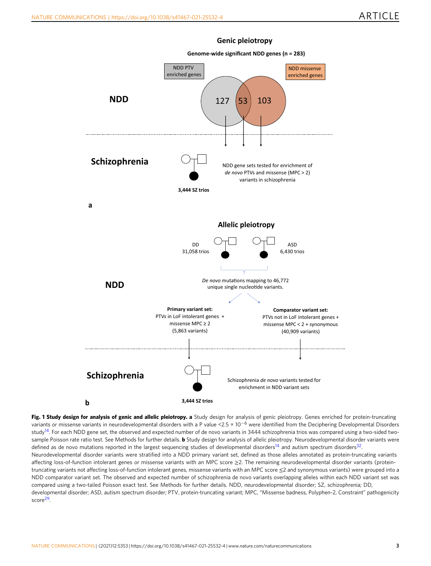### **Genic pleiotropy**

<span id="page-2-0"></span>

Fig. 1 Study design for analysis of genic and allelic pleiotropy. a Study design for analysis of genic pleiotropy. Genes enriched for protein-truncating variants or missense variants in neurodevelopmental disorders with a P value <2.5 × 10−<sup>6</sup> were identified from the Deciphering Developmental Disorders study<sup>14</sup>. For each NDD gene set, the observed and expected number of de novo variants in 3444 schizophrenia trios was compared using a two-sided twosample Poisson rate ratio test. See Methods for further details. **b** Study design for analysis of allelic pleiotropy. Neurodevelopmental disorder variants were defined as de novo mutations reported in the largest sequencing studies of developmental disorders<sup>14</sup> and autism spectrum disorders<sup>[32](#page-7-0)</sup>. Neurodevelopmental disorder variants were stratified into a NDD primary variant set, defined as those alleles annotated as protein-truncating variants affecting loss-of-function intolerant genes or missense variants with an MPC score ≥2. The remaining neurodevelopmental disorder variants (proteintruncating variants not affecting loss-of-function intolerant genes, missense variants with an MPC score ≤2 and synonymous variants) were grouped into a NDD comparator variant set. The observed and expected number of schizophrenia de novo variants overlapping alleles within each NDD variant set was compared using a two-tailed Poisson exact test. See Methods for further details. NDD, neurodevelopmental disorder; SZ, schizophrenia; DD, developmental disorder; ASD, autism spectrum disorder; PTV, protein-truncating variant; MPC, "Missense badness, Polyphen-2, Constraint" pathogenicity score<sup>29</sup>.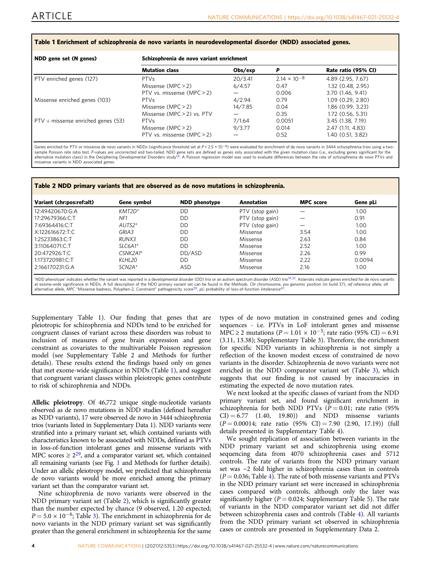#### <span id="page-3-0"></span>Table 1 Enrichment of schizophrenia de novo variants in neurodevelopmental disorder (NDD) associated genes.

| NDD gene set (N genes)               | Schizophrenia de novo variant enrichment |         |                       |                     |
|--------------------------------------|------------------------------------------|---------|-----------------------|---------------------|
|                                      | <b>Mutation class</b>                    | Obs/exp | P                     | Rate ratio (95% CI) |
| PTV enriched genes (127)             | <b>PTVs</b>                              | 20/3.41 | $2.14 \times 10^{-8}$ | 4.89 (2.95, 7.67)   |
|                                      | Missense $(MPC > 2)$                     | 6/4.57  | 0.47                  | 1.32 (0.48, 2.95)   |
|                                      | PTV vs. missense (MPC $>$ 2)             |         | 0.006                 | 3.70 (1.46, 9.41)   |
| Missense enriched genes (103)        | <b>PTVs</b>                              | 4/2.94  | 0.79                  | 1.09(0.29, 2.80)    |
|                                      | Missense $(MPC > 2)$                     | 14/7.85 | 0.04                  | 1.86 (0.99, 3.23)   |
|                                      | Missense (MPC $>$ 2) vs. PTV             |         | 0.35                  | 1.72 (0.56, 5.31)   |
| $PTV +$ missense enriched genes (53) | <b>PTVs</b>                              | 7/1.64  | 0.0051                | 3.45 (1.38, 7.19)   |
|                                      | Missense $(MPC > 2)$                     | 9/3.77  | 0.014                 | 2.47 (1.11, 4.83)   |
|                                      | PTV vs. missense $(MPC > 2)$             |         | 0.52                  | 1.40 (0.51, 3.82)   |

Genes enriched for PTV or missense de novo variants in NDDs (significance threshold set at P < 2.5 × 10<sup>-6</sup>) were evaluated for enrichment of de novo variants in 3444 schizophrenia trios using a twosample Poisson rate ratio test. P-values are uncorrected and two-tailed. NDD gene sets are defined as genes only associated with the given mutation class (i.e., excluding genes significant for the<br>alternative mutation clas missense variants in NDD associated genes.

Table 2 NDD primary variants that are observed as de novo mutations in schizophrenia.

| Variant (chr:pos:ref:alt) | Gene symbol | <b>NDD</b> phenotype | Annotation      | <b>MPC</b> score | Gene pLi |
|---------------------------|-------------|----------------------|-----------------|------------------|----------|
| 12:49420670:G:A           | $KMT2D^*$   | DD                   | PTV (stop gain) |                  | 1.00     |
| 17:29679366:C:T           | NF1         | DD                   | PTV (stop gain) |                  | 0.91     |
| 7:69364416.C:T            | $AUTS2*$    | DD                   | PTV (stop gain) |                  | 1.00     |
| X:122616672:T:C           | GRIA3       | DD                   | Missense        | 3.54             | 1.00     |
| 1:25233863:C:T            | RUNX3       | DD                   | Missense        | 2.63             | 0.84     |
| 3:11064071.C:T            | $SLC6A1*$   | DD                   | Missense        | 2.52             | 1.00     |
| 20:472926:T.C             | $CSNK2A1*$  | DD/ASD               | Missense        | 2.26             | 0.99     |
| 1:173720981:C:T           | KLHL20      | DD                   | Missense        | 2.22             | 0.0094   |
| 2:166170231:G:A           | $SCN2A*$    | ASD                  | Missense        | 2.16             | 1.00     |

'NDD phenotype' indicates whether the variant was reported in a developmental disorder (DD) trio or an autism spectrum disorder (ASD) trio<sup>14,32</sup>. Asterisks indicate genes enriched for de novo variants at exome-wide significance in NDDs. A full description of the NDD primary variant set can be found in the Methods. *Chr* chromosome, pos genomic position (in build 37), *ref* reference allele, *all*<br>alternative allele, MPC

Supplementary Table 1). Our finding that genes that are pleiotropic for schizophrenia and NDDs tend to be enriched for congruent classes of variant across these disorders was robust to inclusion of measures of gene brain expression and gene constraint as covariates to the multivariable Poisson regression model (see Supplementary Table 2 and Methods for further details). These results extend the findings based only on genes that met exome-wide significance in NDDs (Table 1), and suggest that congruent variant classes within pleiotropic genes contribute to risk of schizophrenia and NDDs.

Allelic pleiotropy. Of 46,772 unique single-nucleotide variants observed as de novo mutations in NDD studies (defined hereafter as NDD variants), 17 were observed de novo in 3444 schizophrenia trios (variants listed in Supplementary Data 1). NDD variants were stratified into a primary variant set, which contained variants with characteristics known to be associated with NDDs, defined as PTVs in loss-of-function intolerant genes and missense variants with MPC scores  $\geq 2^{29}$ , and a comparator variant set, which contained all remaining variants (see Fig. [1](#page-2-0) and Methods for further details). Under an allelic pleiotropy model, we predicted that schizophrenia de novo variants would be more enriched among the primary variant set than the comparator variant set.

Nine schizophrenia de novo variants were observed in the NDD primary variant set (Table 2), which is significantly greater than the number expected by chance (9 observed, 1.20 expected;  $P = 5.0 \times 10^{-6}$ ; Table [3\)](#page-4-0). The enrichment in schizophrenia for de novo variants in the NDD primary variant set was significantly greater than the general enrichment in schizophrenia for the same

types of de novo mutation in constrained genes and coding sequences - i.e. PTVs in LoF intolerant genes and missense MPC ≥ 2 mutations ( $P = 1.01 \times 10^{-5}$ ; rate ratio (95% CI) = 6.91 (3.11, 13.38); Supplementary Table 3). Therefore, the enrichment for specific NDD variants in schizophrenia is not simply a reflection of the known modest excess of constrained de novo variants in the disorder. Schizophrenia de novo variants were not enriched in the NDD comparator variant set (Table [3](#page-4-0)), which suggests that our finding is not caused by inaccuracies in estimating the expected de novo mutation rates.

We next looked at the specific classes of variant from the NDD primary variant set, and found significant enrichment in schizophrenia for both NDD PTVs ( $P = 0.01$ ; rate ratio (95%)  $CI$ ) = 6.77 (1.40, 19.80)) and NDD missense variants  $(P = 0.00014$ ; rate ratio  $(95\% \text{ CI}) = 7.90 (2.90, 17.19))$  (full details presented in Supplementary Table 4).

We sought replication of association between variants in the NDD primary variant set and schizophrenia using exome sequencing data from 4070 schizophrenia cases and 5712 controls. The rate of variants from the NDD primary variant set was ~2 fold higher in schizophrenia cases than in controls  $(P = 0.036;$  Table [4](#page-4-0)). The rate of both missense variants and PTVs in the NDD primary variant set were increased in schizophrenia cases compared with controls, although only the later was significantly higher ( $P = 0.024$ ; Supplementary Table 5). The rate of variants in the NDD comparator variant set did not differ between schizophrenia cases and controls (Table [4\)](#page-4-0). All variants from the NDD primary variant set observed in schizophrenia cases or controls are presented in Supplementary Data 2.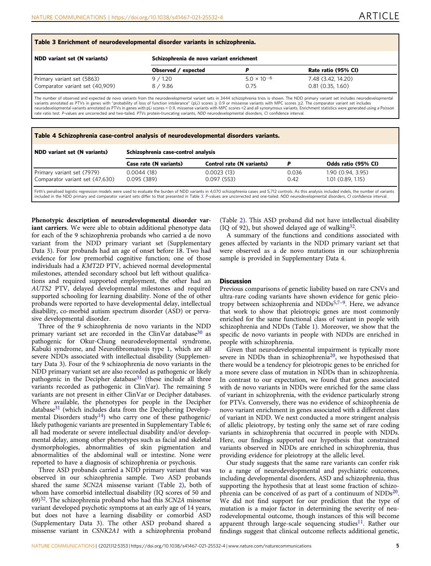<span id="page-4-0"></span>

| NDD variant set (N variants)    | Schizophrenia de novo variant enrichment |                      |                     |
|---------------------------------|------------------------------------------|----------------------|---------------------|
|                                 | Observed / expected                      |                      | Rate ratio (95% CI) |
| Primary variant set (5863)      | 9/1.20                                   | $5.0 \times 10^{-6}$ | 7.48 (3.42, 14.20)  |
| Comparator variant set (40,909) | 8 / 9.86                                 | 0.75                 | 0.81(0.35, 1.60)    |

The number of observed and expected de novo variants from the neurodevelopmental variant sets in 3444 schizophrenia trios is shown. The NDD primary variant set includes neurodevelopmental<br>variants annotated as PTVs in gen rate ratio test. P-values are uncorrected and two-tailed. PTVs protein-truncating variants, NDD neurodevelopmental disorders, CI confidence interval.

## Table 4 Schizophrenia case-control analysis of neurodevelopmental disorders variants. NDD variant set (N variants) Schizophrenia case-control analysis Case rate (N variants) Control rate (N variants) P Odds ratio (95% CI) Primary variant set (7979) 0.0044 (18) 0.0023 (13) 0.036 1.90 (0.94, 3.95) Comparator variant set (47,630) 0.095 (389) 0.097 (553) 0.42 1.01 (0.89, 1.15)

Firth's penalised logistic regression models were used to evaluate the burden of NDD variants in 4,070 schizophrenia cases and 5,712 controls. As this analysis included indels, the number of variants included in the NDD primary and comparator variant sets differ to that presented in Table 3. P-values are uncorrected and one-tailed. NDD neurodevelopmental disorders, CI confidence interval.

Phenotypic description of neurodevelopmental disorder variant carriers. We were able to obtain additional phenotype data for each of the 9 schizophrenia probands who carried a de novo variant from the NDD primary variant set (Supplementary Data 3). Four probands had an age of onset before 18. Two had evidence for low premorbid cognitive function; one of those individuals had a KMT2D PTV, achieved normal developmental milestones, attended secondary school but left without qualifications and required supported employment, the other had an AUTS2 PTV, delayed developmental milestones and required supported schooling for learning disability. None of the of other probands were reported to have developmental delay, intellectual disability, co-morbid autism spectrum disorder (ASD) or pervasive developmental disorder.

Three of the 9 schizophrenia de novo variants in the NDD primary variant set are recorded in the ClinVar database<sup>[30](#page-7-0)</sup> as pathogenic for Okur-Chung neurodevelopmental syndrome, Kabuki syndrome, and Neurofibromatosis type 1, which are all severe NDDs associated with intellectual disability (Supplementary Data 3). Four of the 9 schizophrenia de novo variants in the NDD primary variant set are also recorded as pathogenic or likely pathogenic in the Decipher database $31$  (these include all three variants recorded as pathogenic in ClinVar). The remaining 5 variants are not present in either ClinVar or Decipher databases. Where available, the phenotypes for people in the Decipher database<sup>[31](#page-7-0)</sup> (which includes data from the Deciphering Developmental Disorders study<sup>14</sup>) who carry one of these pathogenic/ likely pathogenic variants are presented in Supplementary Table 6; all had moderate or severe intellectual disability and/or developmental delay, among other phenotypes such as facial and skeletal dysmorphologies, abnormalities of skin pigmentation and abnormalities of the abdominal wall or intestine. None were reported to have a diagnosis of schizophrenia or psychosis.

Three ASD probands carried a NDD primary variant that was observed in our schizophrenia sample. Two ASD probands shared the same SCN2A missense variant (Table [2](#page-3-0)), both of whom have comorbid intellectual disability (IQ scores of 50 and 69) $32$ . The schizophrenia proband who had this SCN2A missense variant developed psychotic symptoms at an early age of 14 years, but does not have a learning disability or comorbid ASD (Supplementary Data 3). The other ASD proband shared a missense variant in CSNK2A1 with a schizophrenia proband

(Table [2\)](#page-3-0). This ASD proband did not have intellectual disability (IQ of 92), but showed delayed age of walking $32$ .

A summary of the functions and conditions associated with genes affected by variants in the NDD primary variant set that were observed as a de novo mutations in our schizophrenia sample is provided in Supplementary Data 4.

#### **Discussion**

Previous comparisons of genetic liability based on rare CNVs and ultra-rare coding variants have shown evidence for genic pleio-tropy between schizophrenia and NDDs<sup>[5](#page-7-0),[7](#page-7-0)-[9](#page-7-0)</sup>. Here, we advance that work to show that pleiotropic genes are most commonly enriched for the same functional class of variant in people with schizophrenia and NDDs (Table [1\)](#page-3-0). Moreover, we show that the specific de novo variants in people with NDDs are enriched in people with schizophrenia.

Given that neurodevelopmental impairment is typically more severe in NDDs than in schizophrenia<sup>[20](#page-7-0)</sup>, we hypothesised that there would be a tendency for pleiotropic genes to be enriched for a more severe class of mutation in NDDs than in schizophrenia. In contrast to our expectation, we found that genes associated with de novo variants in NDDs were enriched for the same class of variant in schizophrenia, with the evidence particularly strong for PTVs. Conversely, there was no evidence of schizophrenia de novo variant enrichment in genes associated with a different class of variant in NDD. We next conducted a more stringent analysis of allelic pleiotropy, by testing only the same set of rare coding variants in schizophrenia that occurred in people with NDDs. Here, our findings supported our hypothesis that constrained variants observed in NDDs are enriched in schizophrenia, thus providing evidence for pleiotropy at the allelic level.

Our study suggests that the same rare variants can confer risk to a range of neurodevelopmental and psychiatric outcomes, including developmental disorders, ASD and schizophrenia, thus supporting the hypothesis that at least some fraction of schizophrenia can be conceived of as part of a continuum of  $NDDs^{20}$ . We did not find support for our prediction that the type of mutation is a major factor in determining the severity of neurodevelopmental outcome, though instances of this will become apparent through large-scale sequencing studies<sup>11</sup>. Rather our findings suggest that clinical outcome reflects additional genetic,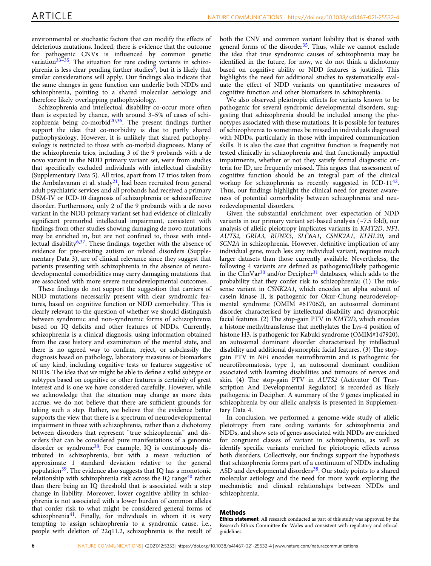environmental or stochastic factors that can modify the effects of deleterious mutations. Indeed, there is evidence that the outcome for pathogenic CNVs is influenced by common genetic variation $33-35$ . The situation for rare coding variants in schizo-phrenia is less clear pending further studies<sup>[8](#page-7-0)</sup>, but it is likely that similar considerations will apply. Our findings also indicate that the same changes in gene function can underlie both NDDs and schizophrenia, pointing to a shared molecular aetiology and therefore likely overlapping pathophysiology.

Schizophrenia and intellectual disability co-occur more often than is expected by chance, with around 3–5% of cases of schizophrenia being co-morbid $20,36$ . The present findings further support the idea that co-morbidity is due to partly shared pathophysiology. However, it is unlikely that shared pathophysiology is restricted to those with co-morbid diagnoses. Many of the schizophrenia trios, including 3 of the 9 probands with a de novo variant in the NDD primary variant set, were from studies that specifically excluded individuals with intellectual disability (Supplementary Data 5). All trios, apart from 17 trios taken from the Ambalavanan et al. study<sup>21</sup>, had been recruited from general adult psychiatric services and all probands had received a primary DSM-IV or ICD-10 diagnosis of schizophrenia or schizoaffective disorder. Furthermore, only 2 of the 9 probands with a de novo variant in the NDD primary variant set had evidence of clinically significant premorbid intellectual impairment, consistent with findings from other studies showing damaging de novo mutations may be enriched in, but are not confined to, those with intellectual disability<sup>6,37</sup>. These findings, together with the absence of evidence for pre-existing autism or related disorders (Supplementary Data 3), are of clinical relevance since they suggest that patients presenting with schizophrenia in the absence of neurodevelopmental comorbidities may carry damaging mutations that are associated with more severe neurodevelopmental outcomes.

These findings do not support the suggestion that carriers of NDD mutations necessarily present with clear syndromic features, based on cognitive function or NDD comorbidity. This is clearly relevant to the question of whether we should distinguish between syndromic and non-syndromic forms of schizophrenia based on IQ deficits and other features of NDDs. Currently, schizophrenia is a clinical diagnosis, using information obtained from the case history and examination of the mental state, and there is no agreed way to confirm, reject, or subclassify the diagnosis based on pathology, laboratory measures or biomarkers of any kind, including cognitive tests or features suggestive of NDDs. The idea that we might be able to define a valid subtype or subtypes based on cognitive or other features is certainly of great interest and is one we have considered carefully. However, while we acknowledge that the situation may change as more data accrue, we do not believe that there are sufficient grounds for taking such a step. Rather, we believe that the evidence better supports the view that there is a spectrum of neurodevelopmental impairment in those with schizophrenia, rather than a dichotomy between disorders that represent "true schizophrenia" and disorders that can be considered pure manifestations of a genomic disorder or syndrome<sup>38</sup>. For example, IQ is continuously distributed in schizophrenia, but with a mean reduction of approximate 1 standard deviation relative to the general population[39](#page-7-0). The evidence also suggests that IQ has a monotonic relationship with schizophrenia risk across the IQ range<sup>[40](#page-7-0)</sup> rather than there being an IQ threshold that is associated with a step change in liability. Moreover, lower cognitive ability in schizophrenia is not associated with a lower burden of common alleles that confer risk to what might be considered general forms of schizophrenia<sup>[41](#page-7-0)</sup>. Finally, for individuals in whom it is very tempting to assign schizophrenia to a syndromic cause, i.e., people with deletion of 22q11.2, schizophrenia is the result of

both the CNV and common variant liability that is shared with general forms of the disorder $35$ . Thus, while we cannot exclude the idea that true syndromic causes of schizophrenia may be identified in the future, for now, we do not think a dichotomy based on cognitive ability or NDD features is justified. This highlights the need for additional studies to systematically evaluate the effect of NDD variants on quantitative measures of cognitive function and other biomarkers in schizophrenia.

We also observed pleiotropic effects for variants known to be pathogenic for several syndromic developmental disorders, suggesting that schizophrenia should be included among the phenotypes associated with these mutations. It is possible for features of schizophrenia to sometimes be missed in individuals diagnosed with NDDs, particularly in those with impaired communication skills. It is also the case that cognitive function is frequently not tested clinically in schizophrenia and that functionally impactful impairments, whether or not they satisfy formal diagnostic criteria for ID, are frequently missed. This argues that assessment of cognitive function should be an integral part of the clinical workup for schizophrenia as recently suggested in ICD-11<sup>42</sup>. Thus, our findings highlight the clinical need for greater awareness of potential comorbidity between schizophrenia and neurodevelopmental disorders.

Given the substantial enrichment over expectation of NDD variants in our primary variant set-based analysis (~7.5 fold), our analysis of allelic pleiotropy implicates variants in KMT2D, NF1, AUTS2, GRIA3, RUNX3, SLC6A1, CSNK2A1, KLHL20, and SCN2A in schizophrenia. However, definitive implication of any individual gene, much less any individual variant, requires much larger datasets than those currently available. Nevertheless, the following 4 variants are defined as pathogenic/likely pathogenic in the ClinVar $30$  and/or Decipher $31$  databases, which adds to the probability that they confer risk to schizophrenia: (1) The missense variant in CSNK2A1, which encodes an alpha subunit of casein kinase II, is pathogenic for Okur-Chung neurodevelopmental syndrome (OMIM #617062), an autosomal dominant disorder characterised by intellectual disability and dysmorphic facial features. (2) The stop-gain PTV in KMT2D, which encodes a histone methyltransferase that methylates the Lys-4 position of histone H3, is pathogenic for Kabuki syndrome (OMIM#147920), an autosomal dominant disorder characterised by intellectual disability and additional dysmorphic facial features. (3) The stopgain PTV in NF1 encodes neurofibromin and is pathogenic for neurofibromatosis, type 1, an autosomal dominant condition associated with learning disabilities and tumours of nerves and skin. (4) The stop-gain PTV in AUTS2 (Activator Of Transcription And Developmental Regulator) is recorded as likely pathogenic in Decipher. A summary of the 9 genes implicated in schizophrenia by our allelic analysis is presented in Supplementary Data 4.

In conclusion, we performed a genome-wide study of allelic pleiotropy from rare coding variants for schizophrenia and NDDs, and show sets of genes associated with NDDs are enriched for congruent classes of variant in schizophrenia, as well as identify specific variants enriched for pleiotropic effects across both disorders. Collectively, our findings support the hypothesis that schizophrenia forms part of a continuum of NDDs including ASD and developmental disorders<sup>38</sup>. Our study points to a shared molecular aetiology and the need for more work exploring the mechanistic and clinical relationships between NDDs and schizophrenia.

#### Methods

Ethics statement. All research conducted as part of this study was approved by the Research Ethics Committee for Wales and consistent with regulatory and ethical guidelines.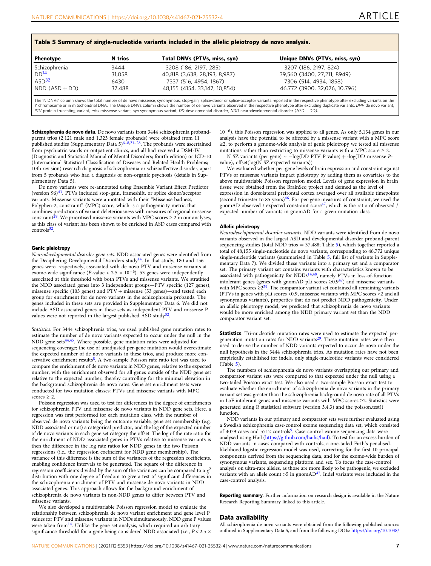| Phenotype         | N trios | Total DNVs (PTVs, miss, syn)  | Unique DNVs (PTVs, miss, syn) |
|-------------------|---------|-------------------------------|-------------------------------|
| Schizophrenia     | 3444    | 3208 (186, 2197, 285)         | 3207 (186, 2197, 824)         |
| DD <sup>14</sup>  | 31,058  | 40,818 (3,638, 28,193, 8,987) | 39,560 (3400, 27,211, 8949)   |
| ASD <sup>32</sup> | 6430    | 7337 (516, 4954, 1867)        | 7306 (514, 4934, 1858)        |
| $NDD (ASD + DD)$  | 37.488  | 48,155 (4154, 33,147, 10,854) | 46,772 (3900, 32,076, 10,796) |

Schizophrenia de novo data. De novo variants from 3444 schizophrenia probandparent trios (2,121 male and 1,323 female probands) were obtained from 11 published studies (Supplementary Data 5)<sup>[6](#page-7-0)–[8,21](#page-7-0)–[28](#page-7-0)</sup>. The probands were ascertained from psychiatric wards or outpatient clinics, and all had received a DSM-IV (Diagnostic and Statistical Manual of Mental Disorders; fourth edition) or ICD-10 (International Statistical Classification of Diseases and Related Health Problems; 10th revision) research diagnosis of schizophrenia or schizoaffective disorder, apart from 5 probands who had a diagnosis of non-organic psychosis (details in Supplementary Data 5).

De novo variants were re-annotated using Ensemble Variant Effect Predictor (version 96[\)43.](#page-7-0) PTVs included stop-gain, frameshift, or splice donor/acceptor variants. Missense variants were annotated with their "Missense badness, Polyphen-2, constraint" (MPC) score, which is a pathogenicity metric that combines predictions of variant deleteriousness with measures of regional missense<br>constraint<sup>[29](#page-7-0)</sup>. We prioritised missense variants with MPC scores ≥ 2 in our analyses, as this class of variant has been shown to be enriched in ASD cases compared with controls<sup>32</sup>

#### Genic pleiotropy

Neurodevelopmental disorder gene sets. NDD associated genes were identified from the Deciphering Developmental Disorders study<sup>14</sup>. In that study, 180 and 156 genes were, respectively, associated with de novo PTV and missense variants at exome-wide significance (P-value <  $2.5 \times 10^{-6}$ ). 53 genes were independently associated at this threshold with both PTVs and missense variants. We stratified the NDD associated genes into 3 independent groups—PTV specific (127 genes), missense specific (103 genes) and  $PTV +$  missense (53 genes)—and tested each group for enrichment for de novo variants in the schizophrenia probands. The genes included in these sets are provided in Supplementary Data 6. We did not include ASD associated genes in these sets as independent PTV and missense P values were not reported in the largest published ASD study<sup>32</sup>.

Statistics. For 3444 schizophrenia trios, we used published gene mutation rates to estimate the number of de novo variants expected to occur under the null in the NDD gene sets<sup>[44](#page-7-0),[45](#page-7-0)</sup>. Where possible, gene mutation rates were adjusted for sequencing coverage; the use of unadjusted per-gene mutation would overestimate the expected number of de novo variants in these trios, and produce more con-servative enrichment results<sup>[8](#page-7-0)</sup>. A two-sample Poisson rate ratio test was used to compare the enrichment of de novo variants in NDD genes, relative to the expected number, with the enrichment observed for all genes outside of the NDD gene set relative to the expected number, thereby controlling for the minimal elevation in the background schizophrenia de novo rates. Gene set enrichment tests were conducted for two mutation classes: PTVs and missense variants with MPC  $scores \geq 2$ .

Poisson regression was used to test for differences in the degree of enrichments for schizophrenia PTV and missense de novo variants in NDD gene sets. Here, a regression was first performed for each mutation class, with the number of observed de novo variants being the outcome variable, gene set membership (e.g. NDD associated or not) a categorical predictor, and the log of the expected number of de novo variants in each gene set category the offset. The log of the rate ratio for the enrichment of NDD associated genes in PTVs relative to missense variants is then the difference in the log rate ratios for NDD genes in the two Poisson regressions (i.e., the regression coefficient for NDD gene membership). The variance of this difference is the sum of the variances of the regression coefficients, enabling confidence intervals to be generated. The square of the difference in regression coefficients divided by the sum of the variances can be compared to a  $\chi^2$ distribution with one degree of freedom to give a test of significant differences in the schizophrenia enrichment of PTV and missense de novo variants in NDD associated genes. This approach allows for the background enrichment of schizophrenia de novo variants in non-NDD genes to differ between PTV and missense variants.

We also developed a multivariable Poisson regression model to evaluate the relationship between schizophrenia de novo variant enrichment and gene level P values for PTV and missense variants in NDDs simultaneously. NDD gene P values were taken from $^{14}$  $^{14}$  $^{14}$ . Unlike the gene set analysis, which required an arbitrary significance threshold for a gene being considered NDD associated (i.e.,  $P < 2.5 \times$ 

10<sup>−</sup>6), this Poisson regression was applied to all genes. As only 5,134 genes in our analysis have the potential to be affected by a missense variant with a MPC score ≥2, to perform a genome-wide analysis of genic pleiotropy we tested all missense mutations rather than restricting to missense variants with a MPC score  $\geq 2$ .

N SZ variants (per gene) ~ −log(DD PTV P value) + -log(DD missense Pvalue), offset $(log(N)$  SZ expected variants))

We evaluated whether per-gene levels of brain expression and constraint against PTVs or missense variants impact pleiotropy by adding them as covariates to the above multivariable Poisson regression model. Levels of gene expression in brain tissue were obtained from the BrainSeq project and defined as the level of expression in dorsolateral prefrontal cortex averaged over all available timepoints (second trimester to 85 years)[46](#page-7-0). For per-gene measures of constraint, we used the gnomAD observed / expected constraint  $score<sup>47</sup>$  $score<sup>47</sup>$  $score<sup>47</sup>$ , which is the ratio of observed / expected number of variants in gnomAD for a given mutation class.

#### Allelic pleiotropy

Neurodevelopmental disorder variants. NDD variants were identified from de novo variants observed in the largest ASD and developmental disorder proband-parent sequencing studies (total NDD trios  $= 37,488$ ; Table 5), which together reported a total of 48,155 single-nucleotide de novo variants, corresponding to 46,772 unique single-nucleotide variants (summarised in Table 5, full list of variants in Supplementary Data 7). We divided these variants into a primary set and a comparator set. The primary variant set contains variants with characteristics known to be associated with pathogenicity for NDDs<sup>14,48</sup>, namely PTVs in loss-of-function intolerant genes (genes with gnomAD pLi scores  $\geq 0.947$ ) and missense variants with MPC scores  $\geq 2^{29}$ . The comparator variant set contained all remaining variants (PTVs in genes with pLi scores <0.9, missense variants with MPC scores <2 and all synonymous variants), properties that do not predict NDD pathogenicity. Under an allelic pleiotropy model, we predicted that schizophrenia de novo variants would be more enriched among the NDD primary variant set than the NDD comparator variant set.

Statistics. Tri-nucleotide mutation rates were used to estimate the expected pergeneration mutation rates for NDD variants $29$ . These mutation rates were then used to derive the number of NDD variants expected to occur de novo under the null hypothesis in the 3444 schizophrenia trios. As mutation rates have not been empirically established for indels, only single-nucleotide variants were considered (Table 5).

The numbers of schizophrenia de novo variants overlapping our primary and comparator variant sets were compared to that expected under the null using a two-tailed Poisson exact test. We also used a two-sample Poisson exact test to evaluate whether the enrichment of schizophrenia de novo variants in the primary variant set was greater than the schizophrenia background de novo rate of all PTVs in LoF intolerant genes and missense variants with MPC scores ≥2. Statistics were generated using R statistical software (version 3.4.3) and the poisson.test() function.

NDD variants in our primary and comparator sets were further evaluated using a Swedish schizophrenia case-control exome sequencing data set, which consisted of 4079 cases and 5712 controls<sup>9</sup>. Case-control exome sequencing data were analysed using Hail [\(https://github.com/hailis/hail](https://github.com/hailis/hail)). To test for an excess burden of NDD variants in cases compared with controls, a one-tailed Firth's penalisedlikelihood logistic regression model was used, correcting for the first 10 principal components derived from the sequencing data, and for the exome-wide burden of synonymous variants, sequencing platform and sex. To focus the case-control analysis on ultra-rare alleles, as those are more likely to be pathogenic, we excluded variants with an allele count >5 in gnomAD<sup>47</sup>. Indel variants were included in the case-control analysis.

Reporting summary. Further information on research design is available in the Nature Research Reporting Summary linked to this article.

#### Data availability

All schizophrenia de novo variants were obtained from the following published sources outlined in Supplementary Data 5, and from the following DOIs: [https://doi.org/10.1038/](https://doi.org/10.1038/s41593-019-0565-2)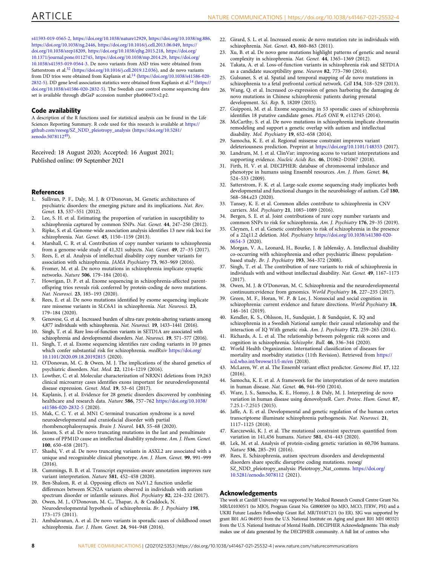<span id="page-7-0"></span>[s41593-019-0565-2](https://doi.org/10.1038/s41593-019-0565-2), [https://doi.org/10.1038/nature12929,](https://doi.org/10.1038/nature12929) <https://doi.org/10.1038/ng.886>, <https://doi.org/10.1038/ng.2446>, [https://doi.org/10.1016/j.cell.2013.06.049,](https://doi.org/10.1016/j.cell.2013.06.049) [https://](https://doi.org/10.1038/srep18209) [doi.org/10.1038/srep18209,](https://doi.org/10.1038/srep18209) [https://doi.org/10.1038/ejhg.2015.218,](https://doi.org/10.1038/ejhg.2015.218) [https://doi.org/](https://doi.org/10.1371/journal.pone.0112745) [10.1371/journal.pone.0112745,](https://doi.org/10.1371/journal.pone.0112745) <https://doi.org/10.1038/mp.2014.29>, [https://doi.org/](https://doi.org/10.1038/s41593-019-0564-3) [10.1038/s41593-019-0564-3.](https://doi.org/10.1038/s41593-019-0564-3) De novo variants from ASD trios were obtained from Satterstrom et al.<sup>32</sup> [\(https://doi.org/10.1016/j.cell.2019.12.036](https://doi.org/10.1016/j.cell.2019.12.036)), and de novo variants from DD trios were obtained from Kaplanis et al.<sup>14</sup> [\(https://doi.org/10.1038/s41586-020-](https://doi.org/10.1038/s41586-020-2832-5) [2832-5\)](https://doi.org/10.1038/s41586-020-2832-5). DD gene level association statistics were obtained from Kaplanis et al.<sup>14</sup> ([https://](https://doi.org/10.1038/s41586-020-2832-5) [doi.org/10.1038/s41586-020-2832-5\)](https://doi.org/10.1038/s41586-020-2832-5). The Swedish case control exome sequencing data set is available through dbGaP accession number phs000473.v2.p2.

#### Code availability

A description of the R functions used for statistical analysis can be found in the Life Sciences Reporting Summary. R code used for this research is available at [https://](https://github.com/reeseg/SZ_NDD_pleiotropy_analysis) [github.com/reeseg/SZ\\_NDD\\_pleiotropy\\_analysis](https://github.com/reeseg/SZ_NDD_pleiotropy_analysis) ([https://doi.org/10.5281/](https://doi.org/10.5281/zenodo.5078112) [zenodo.5078112](https://doi.org/10.5281/zenodo.5078112)49).

Received: 18 August 2020; Accepted: 16 August 2021; Published online: 09 September 2021

#### References

- 1. Sullivan, P. F., Daly, M. J. & O'Donovan, M. Genetic architectures of psychiatric disorders: the emerging picture and its implications. Nat. Rev. Genet. 13, 537–551 (2012).
- 2. Lee, S. H. et al. Estimating the proportion of variation in susceptibility to schizophrenia captured by common SNPs. Nat. Genet. 44, 247–250 (2012).
- 3. Ripke, S. et al. Genome-wide association analysis identifies 13 new risk loci for schizophrenia. Nat. Genet. 45, 1150–1159 (2013).
- 4. Marshall, C. R. et al. Contribution of copy number variants to schizophrenia from a genome-wide study of 41,321 subjects. Nat. Genet. 49, 27–35 (2017).
- 5. Rees, E. et al. Analysis of intellectual disability copy number variants for association with schizophrenia. JAMA Psychiatry 73, 963–969 (2016).
- 6. Fromer, M. et al. De novo mutations in schizophrenia implicate synaptic networks. Nature 506, 179–184 (2014).
- 7. Howrigan, D. P. et al. Exome sequencing in schizophrenia-affected parentoffspring trios reveals risk conferred by protein-coding de novo mutations. Nat. Neurosci. 23, 185–193 (2020).
- 8. Rees, E. et al. De novo mutations identified by exome sequencing implicate rare missense variants in SLC6A1 in schizophrenia. Nat. Neurosci. 23, 179–184 (2020).
- 9. Genovese, G. et al. Increased burden of ultra-rare protein-altering variants among 4,877 individuals with schizophrenia. Nat. Neurosci. 19, 1433–1441 (2016).
- 10. Singh, T. et al. Rare loss-of-function variants in SETD1A are associated with schizophrenia and developmental disorders. Nat. Neurosci. 19, 571–577 (2016).
- 11. Singh, T. et al. Exome sequencing identifies rare coding variants in 10 genes which confer substantial risk for schizophrenia. medRxiv [https://doi.org/](https://doi.org/10.1101/2020.09.18.20192815) [10.1101/2020.09.18.20192815](https://doi.org/10.1101/2020.09.18.20192815) (2020).
- 12. O'Donovan, M. C. & Owen, M. J. The implications of the shared genetics of psychiatric disorders. Nat. Med. 22, 1214–1219 (2016).
- Lowther, C. et al. Molecular characterization of NRXN1 deletions from 19,263 clinical microarray cases identifies exons important for neurodevelopmental disease expression. Genet. Med. 19, 53–61 (2017).
- 14. Kaplanis, J. et al. Evidence for 28 genetic disorders discovered by combining healthcare and research data. Nature 586, 757–762 [https://doi.org/10.1038/](https://doi.org/10.1038/s41586-020-2832-5) [s41586-020-2832-5](https://doi.org/10.1038/s41586-020-2832-5) (2020).
- 15. Mak, C. C. Y. et al. MN1 C-terminal truncation syndrome is a novel neurodevelopmental and craniofacial disorder with partial rhombencephalosynapsis. Brain J. Neurol. 143, 55–68 (2020).
- 16. Jansen, S. et al. De novo truncating mutations in the last and penultimate exons of PPM1D cause an intellectual disability syndrome. Am. J. Hum. Genet. 100, 650–658 (2017).
- 17. Shashi, V. et al. De novo truncating variants in ASXL2 are associated with a unique and recognizable clinical phenotype. Am. J. Hum. Genet. 99, 991–999 (2016).
- 18. Cummings, B. B. et al. Transcript expression-aware annotation improves rare variant interpretation. Nature 581, 452–458 (2020).
- 19. Ben-Shalom, R. et al. Opposing effects on NaV1.2 function underlie differences between SCN2A variants observed in individuals with autism spectrum disorder or infantile seizures. Biol. Psychiatry 82, 224–232 (2017).
- 20. Owen, M. J., O'Donovan, M. C., Thapar, A. & Craddock, N. Neurodevelopmental hypothesis of schizophrenia. Br. J. Psychiatry 198, 173–175 (2011).
- 21. Ambalavanan, A. et al. De novo variants in sporadic cases of childhood onset schizophrenia. Eur. J. Hum. Genet. 24, 944–948 (2016).
- 22. Girard, S. L. et al. Increased exonic de novo mutation rate in individuals with schizophrenia. Nat. Genet. 43, 860–863 (2011).
- 23. Xu, B. et al. De novo gene mutations highlight patterns of genetic and neural complexity in schizophrenia. Nat. Genet. 44, 1365–1369 (2012).
- 24. Takata, A. et al. Loss-of-function variants in schizophrenia risk and SETD1A as a candidate susceptibility gene. Neuron 82, 773–780 (2014).
- 25. Gulsuner, S. et al. Spatial and temporal mapping of de novo mutations in schizophrenia to a fetal prefrontal cortical network. Cell 154, 518–529 (2013).
- 26. Wang, Q. et al. Increased co-expression of genes harboring the damaging de novo mutations in Chinese schizophrenic patients during prenatal development. Sci. Rep. 5, 18209 (2015).
- Guipponi, M. et al. Exome sequencing in 53 sporadic cases of schizophrenia identifies 18 putative candidate genes. PLoS ONE 9, e112745 (2014).
- 28. McCarthy, S. et al. De novo mutations in schizophrenia implicate chromatin remodeling and support a genetic overlap with autism and intellectual disability. Mol. Psychiatry 19, 652–658 (2014).
- 29. Samocha, K. E. et al. Regional missense constraint improves variant deleteriousness prediction. Preprint at <https://doi.org/10.1101/148353> (2017).
- 30. Landrum, M. J. et al. ClinVar: improving access to variant interpretations and supporting evidence. Nucleic Acids Res. 46, D1062–D1067 (2018).
- 31. Firth, H. V. et al. DECIPHER: database of chromosomal imbalance and phenotype in humans using Ensembl resources. Am. J. Hum. Genet. 84, 524–533 (2009).
- 32. Satterstrom, F. K. et al. Large-scale exome sequencing study implicates both developmental and functional changes in the neurobiology of autism. Cell 180, 568–584.e23 (2020).
- 33. Tansey, K. E. et al. Common alleles contribute to schizophrenia in CNV carriers. Mol. Psychiatry 21, 1085–1089 (2016).
- 34. Bergen, S. E. et al. Joint contributions of rare copy number variants and common SNPs to risk for schizophrenia. Am. J. Psychiatry 176, 29–35 (2019).
- 35. Cleynen, I. et al. Genetic contributors to risk of schizophrenia in the presence of a 22q11.2 deletion. Mol. Psychiatry [https://doi.org/10.1038/s41380-020-](https://doi.org/10.1038/s41380-020-0654-3) [0654-3](https://doi.org/10.1038/s41380-020-0654-3) (2020).
- 36. Morgan, V. A., Leonard, H., Bourke, J. & Jablensky, A. Intellectual disability co-occurring with schizophrenia and other psychiatric illness: populationbased study. Br. J. Psychiatry 193, 364–372 (2008).
- 37. Singh, T. et al. The contribution of rare variants to risk of schizophrenia in individuals with and without intellectual disability. Nat. Genet. 49, 1167–1173 (2017).
- 38. Owen, M. J. & O'Donovan, M. C. Schizophrenia and the neurodevelopmental continuum:evidence from genomics. World Psychiatry 16, 227–235 (2017).
- 39. Green, M. F., Horan, W. P. & Lee, J. Nonsocial and social cognition in schizophrenia: current evidence and future directions. World Psychiatry 18, 146–161 (2019).
- 40. Kendler, K. S., Ohlsson, H., Sundquist, J. & Sundquist, K. IQ and schizophrenia in a Swedish National sample: their causal relationship and the interaction of IQ With genetic risk. Am. J. Psychiatry 172, 259–265 (2014).
- 41. Richards, A. L. et al. The relationship between polygenic risk scores and cognition in schizophrenia. Schizophr. Bull. 46, 336–344 (2020).
- 42. World Health Organization. International classification of diseases for mortality and morbidity statistics (11th Revision). Retrieved from [https://](https://icd.who.int/browse11/l-m/en) [icd.who.int/browse11/l-m/en](https://icd.who.int/browse11/l-m/en) (2018).
- 43. McLaren, W. et al. The Ensembl variant effect predictor. Genome Biol. 17, 122  $(2016)$
- 44. Samocha, K. E. et al. A framework for the interpretation of de novo mutation in human disease. Nat. Genet. 46, 944–950 (2014).
- 45. Ware, J. S., Samocha, K. E., Homsy, J. & Daly, M. J. Interpreting de novo variation in human disease using denovolyzeR. Curr. Protoc. Hum. Genet. 87, 7.25.1–7.2515 (2015).
- 46. Jaffe, A. E. et al. Developmental and genetic regulation of the human cortex transcriptome illuminate schizophrenia pathogenesis. Nat. Neurosci. 21, 1117–1125 (2018).
- 47. Karczewski, K. J. et al. The mutational constraint spectrum quantified from variation in 141,456 humans. Nature 581, 434–443 (2020).
- 48. Lek, M. et al. Analysis of protein-coding genetic variation in 60,706 humans. Nature 536, 285–291 (2016).
- 49. Rees, E. Schizophrenia, autism spectrum disorders and developmental disorders share specific disruptive coding mutations. reeseg/ SZ\_NDD\_pleiotropy\_analysis: Pleiotropy\_Nat\_comms. [https://doi.org/](https://doi.org/10.5281/zenodo.5078112) [10.5281/zenodo.5078112](https://doi.org/10.5281/zenodo.5078112) (2021).

#### Acknowledgements

The work at Cardiff University was supported by Medical Research Council Centre Grant No. MR/L010305/1 (to MJO), Program Grant No. G0800509 (to MJO, MCO, JTRW, PH) and a UKRI Future Leaders Fellowship Grant Ref. MR/T018712/1 (to ER). SJG was supported by grant R01 AG 064955 from the U.S. National Institute on Aging and grant R01 MH 085521 from the U.S. National Institute of Mental Health. DECIPHER Acknowledgments: This study makes use of data generated by the DECIPHER community. A full list of centres who